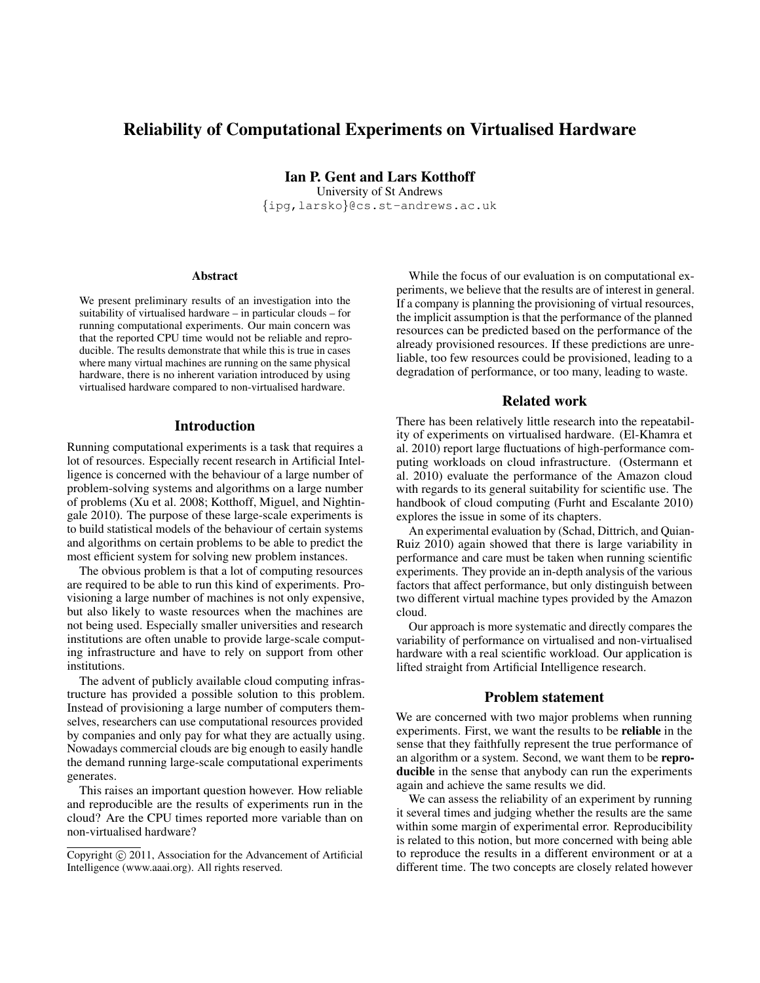# Reliability of Computational Experiments on Virtualised Hardware

Ian P. Gent and Lars Kotthoff University of St Andrews

{ipg,larsko}@cs.st-andrews.ac.uk

#### **Abstract**

We present preliminary results of an investigation into the suitability of virtualised hardware – in particular clouds – for running computational experiments. Our main concern was that the reported CPU time would not be reliable and reproducible. The results demonstrate that while this is true in cases where many virtual machines are running on the same physical hardware, there is no inherent variation introduced by using virtualised hardware compared to non-virtualised hardware.

#### Introduction

Running computational experiments is a task that requires a lot of resources. Especially recent research in Artificial Intelligence is concerned with the behaviour of a large number of problem-solving systems and algorithms on a large number of problems (Xu et al. 2008; Kotthoff, Miguel, and Nightingale 2010). The purpose of these large-scale experiments is to build statistical models of the behaviour of certain systems and algorithms on certain problems to be able to predict the most efficient system for solving new problem instances.

The obvious problem is that a lot of computing resources are required to be able to run this kind of experiments. Provisioning a large number of machines is not only expensive, but also likely to waste resources when the machines are not being used. Especially smaller universities and research institutions are often unable to provide large-scale computing infrastructure and have to rely on support from other institutions.

The advent of publicly available cloud computing infrastructure has provided a possible solution to this problem. Instead of provisioning a large number of computers themselves, researchers can use computational resources provided by companies and only pay for what they are actually using. Nowadays commercial clouds are big enough to easily handle the demand running large-scale computational experiments generates.

This raises an important question however. How reliable and reproducible are the results of experiments run in the cloud? Are the CPU times reported more variable than on non-virtualised hardware?

While the focus of our evaluation is on computational experiments, we believe that the results are of interest in general. If a company is planning the provisioning of virtual resources, the implicit assumption is that the performance of the planned resources can be predicted based on the performance of the already provisioned resources. If these predictions are unreliable, too few resources could be provisioned, leading to a degradation of performance, or too many, leading to waste.

#### Related work

There has been relatively little research into the repeatability of experiments on virtualised hardware. (El-Khamra et al. 2010) report large fluctuations of high-performance computing workloads on cloud infrastructure. (Ostermann et al. 2010) evaluate the performance of the Amazon cloud with regards to its general suitability for scientific use. The handbook of cloud computing (Furht and Escalante 2010) explores the issue in some of its chapters.

An experimental evaluation by (Schad, Dittrich, and Quian-Ruiz 2010) again showed that there is large variability in performance and care must be taken when running scientific experiments. They provide an in-depth analysis of the various factors that affect performance, but only distinguish between two different virtual machine types provided by the Amazon cloud.

Our approach is more systematic and directly compares the variability of performance on virtualised and non-virtualised hardware with a real scientific workload. Our application is lifted straight from Artificial Intelligence research.

#### Problem statement

We are concerned with two major problems when running experiments. First, we want the results to be reliable in the sense that they faithfully represent the true performance of an algorithm or a system. Second, we want them to be reproducible in the sense that anybody can run the experiments again and achieve the same results we did.

We can assess the reliability of an experiment by running it several times and judging whether the results are the same within some margin of experimental error. Reproducibility is related to this notion, but more concerned with being able to reproduce the results in a different environment or at a different time. The two concepts are closely related however

Copyright  $\odot$  2011, Association for the Advancement of Artificial Intelligence (www.aaai.org). All rights reserved.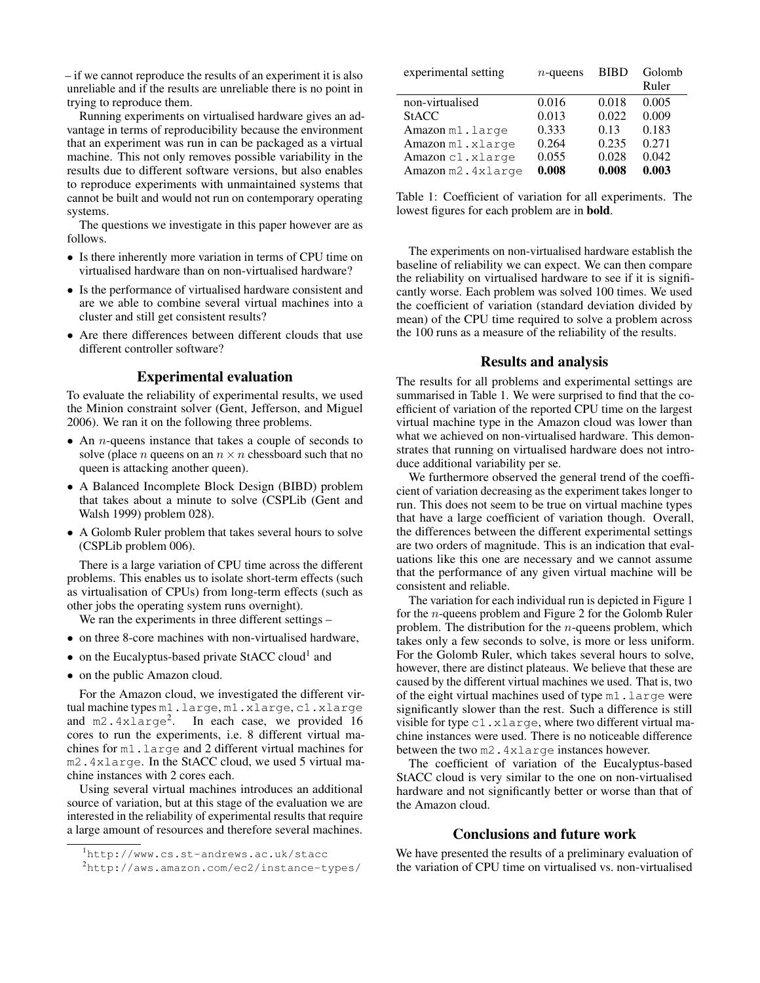– if we cannot reproduce the results of an experiment it is also unreliable and if the results are unreliable there is no point in trying to reproduce them.

Running experiments on virtualised hardware gives an advantage in terms of reproducibility because the environment that an experiment was run in can be packaged as a virtual machine. This not only removes possible variability in the results due to different software versions, but also enables to reproduce experiments with unmaintained systems that cannot be built and would not run on contemporary operating systems.

The questions we investigate in this paper however are as follows.

- Is there inherently more variation in terms of CPU time on virtualised hardware than on non-virtualised hardware?
- Is the performance of virtualised hardware consistent and are we able to combine several virtual machines into a cluster and still get consistent results?
- Are there differences between different clouds that use different controller software?

### Experimental evaluation

To evaluate the reliability of experimental results, we used the Minion constraint solver (Gent, Jefferson, and Miguel 2006). We ran it on the following three problems.

- An *n*-queens instance that takes a couple of seconds to solve (place *n* queens on an  $n \times n$  chessboard such that no queen is attacking another queen).
- A Balanced Incomplete Block Design (BIBD) problem that takes about a minute to solve (CSPLib (Gent and Walsh 1999) problem 028).
- A Golomb Ruler problem that takes several hours to solve (CSPLib problem 006).

There is a large variation of CPU time across the different problems. This enables us to isolate short-term effects (such as virtualisation of CPUs) from long-term effects (such as other jobs the operating system runs overnight).

We ran the experiments in three different settings –

- on three 8-core machines with non-virtualised hardware,
- on the Eucalyptus-based private StACC cloud<sup>1</sup> and
- on the public Amazon cloud.

For the Amazon cloud, we investigated the different virtual machine types m1.large, m1.xlarge, c1.xlarge and m2.4xlarge<sup>2</sup>. In each case, we provided 16 cores to run the experiments, i.e. 8 different virtual machines for m1.large and 2 different virtual machines for m2.4xlarge. In the StACC cloud, we used 5 virtual machine instances with 2 cores each.

Using several virtual machines introduces an additional source of variation, but at this stage of the evaluation we are interested in the reliability of experimental results that require a large amount of resources and therefore several machines.

| $n$ -queens | <b>BIBD</b> | Golomb<br>Ruler |
|-------------|-------------|-----------------|
| 0.016       | 0.018       | 0.005           |
| 0.013       | 0.022       | 0.009           |
| 0.333       | 0.13        | 0.183           |
| 0.264       | 0.235       | 0.271           |
| 0.055       | 0.028       | 0.042           |
| 0.008       | 0.008       | 0.003           |
|             |             |                 |

Table 1: Coefficient of variation for all experiments. The lowest figures for each problem are in bold.

The experiments on non-virtualised hardware establish the baseline of reliability we can expect. We can then compare the reliability on virtualised hardware to see if it is significantly worse. Each problem was solved 100 times. We used the coefficient of variation (standard deviation divided by mean) of the CPU time required to solve a problem across the 100 runs as a measure of the reliability of the results.

#### Results and analysis

The results for all problems and experimental settings are summarised in Table 1. We were surprised to find that the coefficient of variation of the reported CPU time on the largest virtual machine type in the Amazon cloud was lower than what we achieved on non-virtualised hardware. This demonstrates that running on virtualised hardware does not introduce additional variability per se.

We furthermore observed the general trend of the coefficient of variation decreasing as the experiment takes longer to run. This does not seem to be true on virtual machine types that have a large coefficient of variation though. Overall, the differences between the different experimental settings are two orders of magnitude. This is an indication that evaluations like this one are necessary and we cannot assume that the performance of any given virtual machine will be consistent and reliable.

The variation for each individual run is depicted in Figure 1 for the n-queens problem and Figure 2 for the Golomb Ruler problem. The distribution for the  $n$ -queens problem, which takes only a few seconds to solve, is more or less uniform. For the Golomb Ruler, which takes several hours to solve, however, there are distinct plateaus. We believe that these are caused by the different virtual machines we used. That is, two of the eight virtual machines used of type m1.large were significantly slower than the rest. Such a difference is still visible for type c1.xlarge, where two different virtual machine instances were used. There is no noticeable difference between the two m2.4xlarge instances however.

The coefficient of variation of the Eucalyptus-based StACC cloud is very similar to the one on non-virtualised hardware and not significantly better or worse than that of the Amazon cloud.

## Conclusions and future work

We have presented the results of a preliminary evaluation of the variation of CPU time on virtualised vs. non-virtualised

<sup>1</sup>http://www.cs.st-andrews.ac.uk/stacc

<sup>2</sup>http://aws.amazon.com/ec2/instance-types/